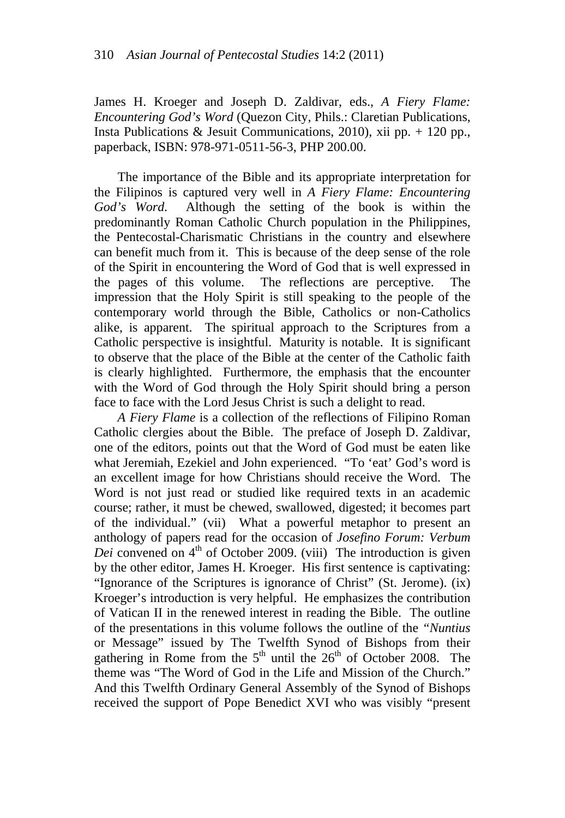James H. Kroeger and Joseph D. Zaldivar, eds., *A Fiery Flame: Encountering God's Word* (Quezon City, Phils.: Claretian Publications, Insta Publications & Jesuit Communications, 2010), xii pp.  $+$  120 pp., paperback, ISBN: 978-971-0511-56-3, PHP 200.00.

The importance of the Bible and its appropriate interpretation for the Filipinos is captured very well in *A Fiery Flame: Encountering God's Word*. Although the setting of the book is within the predominantly Roman Catholic Church population in the Philippines, the Pentecostal-Charismatic Christians in the country and elsewhere can benefit much from it. This is because of the deep sense of the role of the Spirit in encountering the Word of God that is well expressed in the pages of this volume. The reflections are perceptive. The impression that the Holy Spirit is still speaking to the people of the contemporary world through the Bible, Catholics or non-Catholics alike, is apparent. The spiritual approach to the Scriptures from a Catholic perspective is insightful. Maturity is notable. It is significant to observe that the place of the Bible at the center of the Catholic faith is clearly highlighted. Furthermore, the emphasis that the encounter with the Word of God through the Holy Spirit should bring a person face to face with the Lord Jesus Christ is such a delight to read.

*A Fiery Flame* is a collection of the reflections of Filipino Roman Catholic clergies about the Bible. The preface of Joseph D. Zaldivar, one of the editors, points out that the Word of God must be eaten like what Jeremiah, Ezekiel and John experienced. "To 'eat' God's word is an excellent image for how Christians should receive the Word. The Word is not just read or studied like required texts in an academic course; rather, it must be chewed, swallowed, digested; it becomes part of the individual." (vii) What a powerful metaphor to present an anthology of papers read for the occasion of *Josefino Forum: Verbum Dei* convened on  $4<sup>th</sup>$  of October 2009. (viii) The introduction is given by the other editor, James H. Kroeger. His first sentence is captivating: "Ignorance of the Scriptures is ignorance of Christ" (St. Jerome). (ix) Kroeger's introduction is very helpful. He emphasizes the contribution of Vatican II in the renewed interest in reading the Bible. The outline of the presentations in this volume follows the outline of the *"Nuntius* or Message" issued by The Twelfth Synod of Bishops from their gathering in Rome from the  $5<sup>th</sup>$  until the  $26<sup>th</sup>$  of October 2008. The theme was "The Word of God in the Life and Mission of the Church." And this Twelfth Ordinary General Assembly of the Synod of Bishops received the support of Pope Benedict XVI who was visibly "present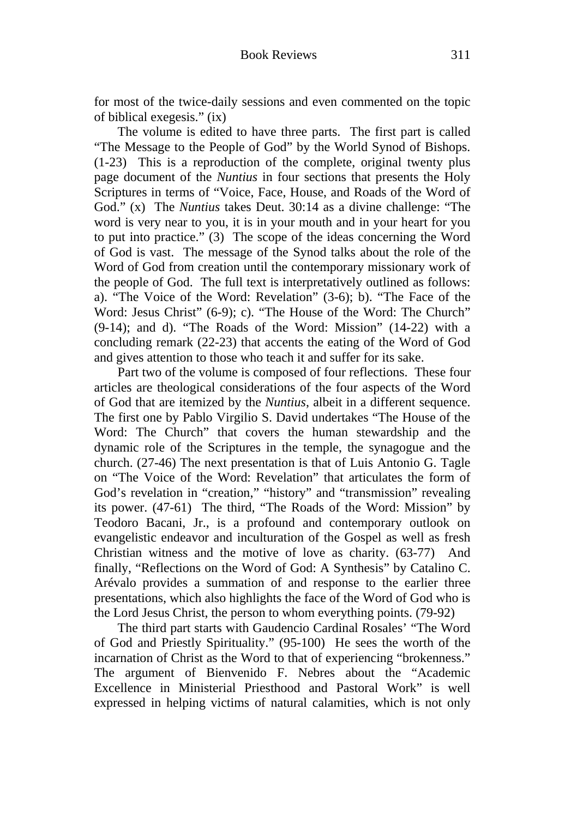for most of the twice-daily sessions and even commented on the topic of biblical exegesis." (ix)

The volume is edited to have three parts. The first part is called "The Message to the People of God" by the World Synod of Bishops. (1-23) This is a reproduction of the complete, original twenty plus page document of the *Nuntius* in four sections that presents the Holy Scriptures in terms of "Voice, Face, House, and Roads of the Word of God." (x) The *Nuntius* takes Deut. 30:14 as a divine challenge: "The word is very near to you, it is in your mouth and in your heart for you to put into practice." (3) The scope of the ideas concerning the Word of God is vast. The message of the Synod talks about the role of the Word of God from creation until the contemporary missionary work of the people of God. The full text is interpretatively outlined as follows: a). "The Voice of the Word: Revelation" (3-6); b). "The Face of the Word: Jesus Christ" (6-9); c). "The House of the Word: The Church" (9-14); and d). "The Roads of the Word: Mission" (14-22) with a concluding remark (22-23) that accents the eating of the Word of God and gives attention to those who teach it and suffer for its sake.

Part two of the volume is composed of four reflections. These four articles are theological considerations of the four aspects of the Word of God that are itemized by the *Nuntius*, albeit in a different sequence. The first one by Pablo Virgilio S. David undertakes "The House of the Word: The Church" that covers the human stewardship and the dynamic role of the Scriptures in the temple, the synagogue and the church. (27-46) The next presentation is that of Luis Antonio G. Tagle on "The Voice of the Word: Revelation" that articulates the form of God's revelation in "creation," "history" and "transmission" revealing its power. (47-61) The third, "The Roads of the Word: Mission" by Teodoro Bacani, Jr., is a profound and contemporary outlook on evangelistic endeavor and inculturation of the Gospel as well as fresh Christian witness and the motive of love as charity. (63-77) And finally, "Reflections on the Word of God: A Synthesis" by Catalino C. Arévalo provides a summation of and response to the earlier three presentations, which also highlights the face of the Word of God who is the Lord Jesus Christ, the person to whom everything points. (79-92)

The third part starts with Gaudencio Cardinal Rosales' "The Word of God and Priestly Spirituality." (95-100) He sees the worth of the incarnation of Christ as the Word to that of experiencing "brokenness." The argument of Bienvenido F. Nebres about the "Academic Excellence in Ministerial Priesthood and Pastoral Work" is well expressed in helping victims of natural calamities, which is not only